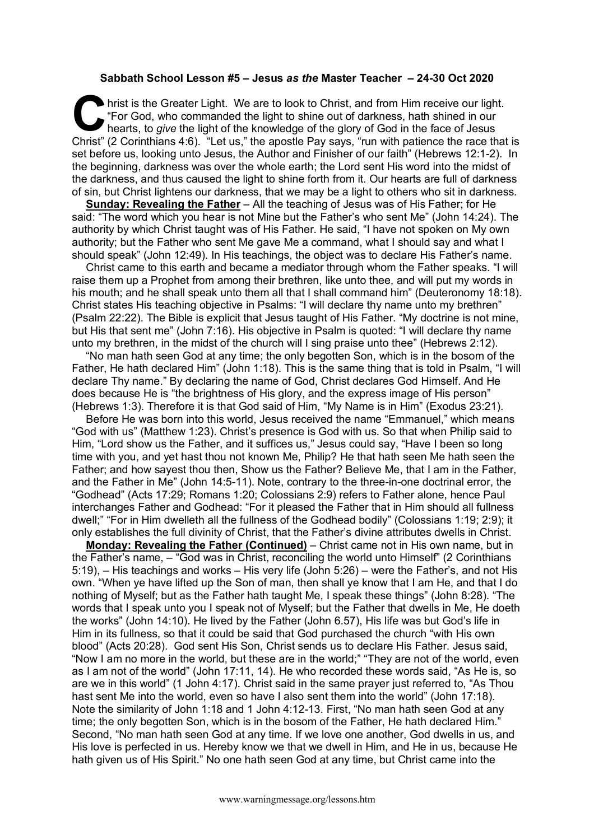## **Sabbath School Lesson #5 – Jesus** *as the* **Master Teacher – 24-30 Oct 2020**

hrist is the Greater Light. We are to look to Christ, and from Him receive our light. "For God, who commanded the light to shine out of darkness, hath shined in our hearts, to *give* the light of the knowledge of the glory of God in the face of Jesus Christ" (2 Corinthians 4:6). "Let us," the apostle Pay says, "run with patience the race that is set before us, looking unto Jesus, the Author and Finisher of our faith" (Hebrews 12:1-2). In the beginning, darkness was over the whole earth; the Lord sent His word into the midst of the darkness, and thus caused the light to shine forth from it. Our hearts are full of darkness of sin, but Christ lightens our darkness, that we may be a light to others who sit in darkness. **C** hris

**Sunday: Revealing the Father** – All the teaching of Jesus was of His Father; for He said: "The word which you hear is not Mine but the Father's who sent Me" (John 14:24). The authority by which Christ taught was of His Father. He said, "I have not spoken on My own authority; but the Father who sent Me gave Me a command, what I should say and what I should speak" (John 12:49). In His teachings, the object was to declare His Father's name.

Christ came to this earth and became a mediator through whom the Father speaks. "I will raise them up a Prophet from among their brethren, like unto thee, and will put my words in his mouth; and he shall speak unto them all that I shall command him" (Deuteronomy 18:18). Christ states His teaching objective in Psalms: "I will declare thy name unto my brethren" (Psalm 22:22). The Bible is explicit that Jesus taught of His Father. "My doctrine is not mine, but His that sent me" (John 7:16). His objective in Psalm is quoted: "I will declare thy name unto my brethren, in the midst of the church will I sing praise unto thee" (Hebrews 2:12).

"No man hath seen God at any time; the only begotten Son, which is in the bosom of the Father, He hath declared Him" (John 1:18). This is the same thing that is told in Psalm, "I will declare Thy name." By declaring the name of God, Christ declares God Himself. And He does because He is "the brightness of His glory, and the express image of His person" (Hebrews 1:3). Therefore it is that God said of Him, "My Name is in Him" (Exodus 23:21).

Before He was born into this world, Jesus received the name "Emmanuel," which means "God with us" (Matthew 1:23). Christ's presence is God with us. So that when Philip said to Him, "Lord show us the Father, and it suffices us," Jesus could say, "Have I been so long time with you, and yet hast thou not known Me, Philip? He that hath seen Me hath seen the Father; and how sayest thou then, Show us the Father? Believe Me, that I am in the Father, and the Father in Me" (John 14:5-11). Note, contrary to the three-in-one doctrinal error, the "Godhead" (Acts 17:29; Romans 1:20; Colossians 2:9) refers to Father alone, hence Paul interchanges Father and Godhead: "For it pleased the Father that in Him should all fullness dwell;" "For in Him dwelleth all the fullness of the Godhead bodily" (Colossians 1:19; 2:9); it only establishes the full divinity of Christ, that the Father's divine attributes dwells in Christ.

**Monday: Revealing the Father (Continued)** – Christ came not in His own name, but in the Father's name, – "God was in Christ, reconciling the world unto Himself" (2 Corinthians 5:19), – His teachings and works – His very life (John 5:26) – were the Father's, and not His own. "When ye have lifted up the Son of man, then shall ye know that I am He, and that I do nothing of Myself; but as the Father hath taught Me, I speak these things" (John 8:28). "The words that I speak unto you I speak not of Myself; but the Father that dwells in Me, He doeth the works" (John 14:10). He lived by the Father (John 6.57), His life was but God's life in Him in its fullness, so that it could be said that God purchased the church "with His own blood" (Acts 20:28). God sent His Son, Christ sends us to declare His Father. Jesus said, "Now I am no more in the world, but these are in the world;" "They are not of the world, even as I am not of the world" (John 17:11, 14). He who recorded these words said, "As He is, so are we in this world" (1 John 4:17). Christ said in the same prayer just referred to, "As Thou hast sent Me into the world, even so have I also sent them into the world" (John 17:18). Note the similarity of John 1:18 and 1 John 4:12-13. First, "No man hath seen God at any time; the only begotten Son, which is in the bosom of the Father, He hath declared Him." Second, "No man hath seen God at any time. If we love one another, God dwells in us, and His love is perfected in us. Hereby know we that we dwell in Him, and He in us, because He hath given us of His Spirit." No one hath seen God at any time, but Christ came into the